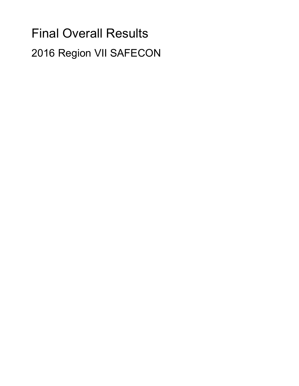# Final Overall Results 2016 Region VII SAFECON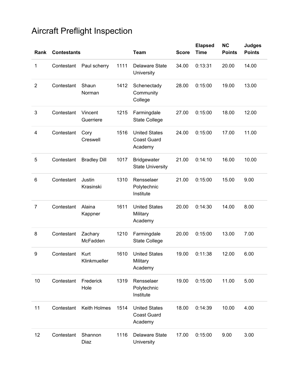| Rank           | <b>Contestants</b> |                      |      | <b>Team</b>                                           | <b>Score</b> | <b>Elapsed</b><br><b>Time</b> | <b>NC</b><br><b>Points</b> | <b>Judges</b><br><b>Points</b> |
|----------------|--------------------|----------------------|------|-------------------------------------------------------|--------------|-------------------------------|----------------------------|--------------------------------|
| 1              | Contestant         | Paul scherry         | 1111 | Delaware State<br>University                          | 34.00        | 0:13:31                       | 20.00                      | 14.00                          |
| $\overline{2}$ | Contestant         | Shaun<br>Norman      | 1412 | Schenectady<br>Community<br>College                   | 28.00        | 0:15:00                       | 19.00                      | 13.00                          |
| 3              | Contestant         | Vincent<br>Guerriere | 1215 | Farmingdale<br><b>State College</b>                   | 27.00        | 0:15:00                       | 18.00                      | 12.00                          |
| 4              | Contestant         | Cory<br>Creswell     | 1516 | <b>United States</b><br><b>Coast Guard</b><br>Academy | 24.00        | 0:15:00                       | 17.00                      | 11.00                          |
| 5              | Contestant         | <b>Bradley Dill</b>  | 1017 | <b>Bridgewater</b><br><b>State University</b>         | 21.00        | 0:14:10                       | 16.00                      | 10.00                          |
| 6              | Contestant         | Justin<br>Krasinski  | 1310 | Rensselaer<br>Polytechnic<br>Institute                | 21.00        | 0:15:00                       | 15.00                      | 9.00                           |
| $\overline{7}$ | Contestant         | Alaina<br>Kappner    | 1611 | <b>United States</b><br>Military<br>Academy           | 20.00        | 0:14:30                       | 14.00                      | 8.00                           |
| 8              | Contestant         | Zachary<br>McFadden  | 1210 | Farmingdale<br><b>State College</b>                   | 20.00        | 0:15:00                       | 13.00                      | 7.00                           |
| 9              | Contestant         | Kurt<br>Klinkmueller | 1610 | <b>United States</b><br>Military<br>Academy           | 19.00        | 0:11:38                       | 12.00                      | 6.00                           |
| 10             | Contestant         | Frederick<br>Hole    | 1319 | Rensselaer<br>Polytechnic<br>Institute                | 19.00        | 0:15:00                       | 11.00                      | 5.00                           |
| 11             | Contestant         | Keith Holmes         | 1514 | <b>United States</b><br><b>Coast Guard</b><br>Academy | 18.00        | 0:14:39                       | 10.00                      | 4.00                           |
| 12             | Contestant         | Shannon<br>Diaz      | 1116 | <b>Delaware State</b><br>University                   | 17.00        | 0:15:00                       | 9.00                       | 3.00                           |

# Aircraft Preflight Inspection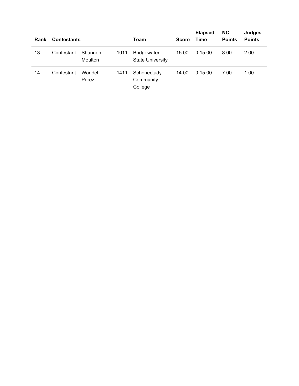| Rank | <b>Contestants</b> |                    |      | Team                                          | <b>Score</b> | <b>Elapsed</b><br><b>Time</b> | <b>NC</b><br><b>Points</b> | Judges<br><b>Points</b> |
|------|--------------------|--------------------|------|-----------------------------------------------|--------------|-------------------------------|----------------------------|-------------------------|
| 13   | Contestant         | Shannon<br>Moulton | 1011 | <b>Bridgewater</b><br><b>State University</b> | 15.00        | 0:15:00                       | 8.00                       | 2.00                    |
| 14   | Contestant         | Wandel<br>Perez    | 1411 | Schenectady<br>Community<br>College           | 14.00        | 0:15:00                       | 7.00                       | 1.00                    |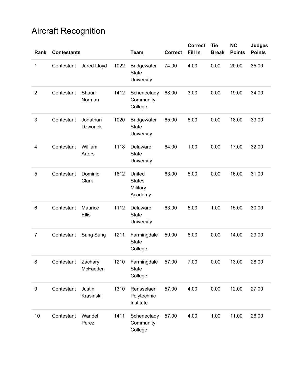## Aircraft Recognition

| Rank           | <b>Contestants</b> |                            |      | <b>Team</b>                                      | <b>Correct</b> | <b>Correct</b><br>Fill In | <b>Tie</b><br><b>Break</b> | <b>NC</b><br><b>Points</b> | <b>Judges</b><br><b>Points</b> |
|----------------|--------------------|----------------------------|------|--------------------------------------------------|----------------|---------------------------|----------------------------|----------------------------|--------------------------------|
| 1              | Contestant         | Jared Lloyd                | 1022 | <b>Bridgewater</b><br><b>State</b><br>University | 74.00          | 4.00                      | 0.00                       | 20.00                      | 35.00                          |
| $\overline{2}$ | Contestant         | Shaun<br>Norman            | 1412 | Schenectady<br>Community<br>College              | 68.00          | 3.00                      | 0.00                       | 19.00                      | 34.00                          |
| 3              | Contestant         | Jonathan<br><b>Dzwonek</b> | 1020 | <b>Bridgewater</b><br><b>State</b><br>University | 65.00          | 6.00                      | 0.00                       | 18.00                      | 33.00                          |
| 4              | Contestant         | William<br>Arters          | 1118 | Delaware<br><b>State</b><br>University           | 64.00          | 1.00                      | 0.00                       | 17.00                      | 32.00                          |
| 5              | Contestant         | Dominic<br>Clark           | 1612 | United<br><b>States</b><br>Military<br>Academy   | 63.00          | 5.00                      | 0.00                       | 16.00                      | 31.00                          |
| 6              | Contestant         | Maurice<br>Ellis           | 1112 | Delaware<br><b>State</b><br>University           | 63.00          | 5.00                      | 1.00                       | 15.00                      | 30.00                          |
| $\overline{7}$ | Contestant         | Sang Sung                  | 1211 | Farmingdale<br>State<br>College                  | 59.00          | 6.00                      | 0.00                       | 14.00                      | 29.00                          |
| 8              | Contestant         | Zachary<br>McFadden        | 1210 | Farmingdale<br>State<br>College                  | 57.00          | 7.00                      | 0.00                       | 13.00                      | 28.00                          |
| 9              | Contestant         | Justin<br>Krasinski        | 1310 | Rensselaer<br>Polytechnic<br>Institute           | 57.00          | 4.00                      | 0.00                       | 12.00                      | 27.00                          |
| 10             | Contestant         | Wandel<br>Perez            | 1411 | Schenectady<br>Community<br>College              | 57.00          | 4.00                      | 1.00                       | 11.00                      | 26.00                          |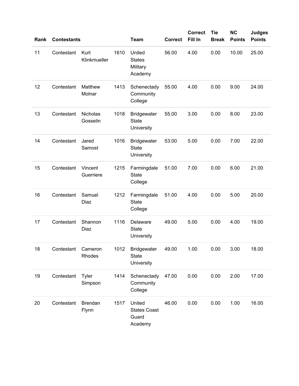| Rank | <b>Contestants</b> |                         |      | <b>Team</b>                                       | <b>Correct</b> | <b>Correct</b><br>Fill In | <b>Tie</b><br><b>Break</b> | <b>NC</b><br><b>Points</b> | <b>Judges</b><br><b>Points</b> |
|------|--------------------|-------------------------|------|---------------------------------------------------|----------------|---------------------------|----------------------------|----------------------------|--------------------------------|
| 11   | Contestant         | Kurt<br>Klinkmueller    | 1610 | United<br><b>States</b><br>Military<br>Academy    | 56.00          | 4.00                      | 0.00                       | 10.00                      | 25.00                          |
| 12   | Contestant         | Matthew<br>Molnar       | 1413 | Schenectady<br>Community<br>College               | 55.00          | 4.00                      | 0.00                       | 9.00                       | 24.00                          |
| 13   | Contestant         | Nicholas<br>Gosselin    | 1018 | <b>Bridgewater</b><br><b>State</b><br>University  | 55.00          | 3.00                      | 0.00                       | 8.00                       | 23.00                          |
| 14   | Contestant         | Jared<br>Samost         | 1016 | <b>Bridgewater</b><br><b>State</b><br>University  | 53.00          | 5.00                      | 0.00                       | 7.00                       | 22.00                          |
| 15   | Contestant         | Vincent<br>Guerriere    | 1215 | Farmingdale<br><b>State</b><br>College            | 51.00          | 7.00                      | 0.00                       | 6.00                       | 21.00                          |
| 16   | Contestant         | Samuel<br>Diaz          | 1212 | Farmingdale<br><b>State</b><br>College            | 51.00          | 4.00                      | 0.00                       | 5.00                       | 20.00                          |
| 17   | Contestant         | Shannon<br>Diaz         | 1116 | Delaware<br><b>State</b><br>University            | 49.00          | 5.00                      | 0.00                       | 4.00                       | 19.00                          |
| 18   | Contestant         | Cameron<br>Rhodes       | 1012 | Bridgewater<br><b>State</b><br>University         | 49.00          | 1.00                      | 0.00                       | 3.00                       | 18.00                          |
| 19   | Contestant         | Tyler<br>Simpson        | 1414 | Schenectady<br>Community<br>College               | 47.00          | 0.00                      | 0.00                       | 2.00                       | 17.00                          |
| 20   | Contestant         | <b>Brendan</b><br>Flynn | 1517 | United<br><b>States Coast</b><br>Guard<br>Academy | 46.00          | 0.00                      | 0.00                       | 1.00                       | 16.00                          |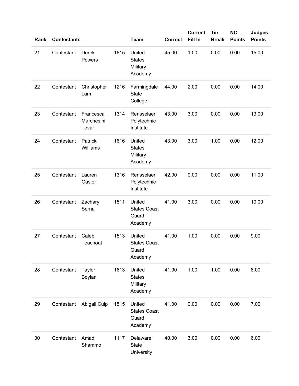| Rank | <b>Contestants</b> |                                  |      | <b>Team</b>                                       | <b>Correct</b> | <b>Correct</b><br>Fill In | <b>Tie</b><br><b>Break</b> | <b>NC</b><br><b>Points</b> | <b>Judges</b><br><b>Points</b> |
|------|--------------------|----------------------------------|------|---------------------------------------------------|----------------|---------------------------|----------------------------|----------------------------|--------------------------------|
| 21   | Contestant         | Derek<br>Powers                  | 1615 | United<br><b>States</b><br>Military<br>Academy    | 45.00          | 1.00                      | 0.00                       | 0.00                       | 15.00                          |
| 22   | Contestant         | Christopher<br>Lam               | 1216 | Farmingdale<br><b>State</b><br>College            | 44.00          | 2.00                      | 0.00                       | 0.00                       | 14.00                          |
| 23   | Contestant         | Francesca<br>Marchesini<br>Tovar | 1314 | Rensselaer<br>Polytechnic<br>Institute            | 43.00          | 3.00                      | 0.00                       | 0.00                       | 13.00                          |
| 24   | Contestant         | Patrick<br>Williams              | 1616 | United<br><b>States</b><br>Military<br>Academy    | 43.00          | 3.00                      | 1.00                       | 0.00                       | 12.00                          |
| 25   | Contestant         | Lauren<br>Gasior                 | 1316 | Rensselaer<br>Polytechnic<br>Institute            | 42.00          | 0.00                      | 0.00                       | 0.00                       | 11.00                          |
| 26   | Contestant         | Zachary<br>Serna                 | 1511 | United<br><b>States Coast</b><br>Guard<br>Academy | 41.00          | 3.00                      | 0.00                       | 0.00                       | 10.00                          |
| 27   | Contestant         | Caleb<br>Teachout                | 1513 | United<br><b>States Coast</b><br>Guard<br>Academy | 41.00          | 1.00                      | 0.00                       | 0.00                       | 9.00                           |
| 28   | Contestant         | Taylor<br>Boylan                 | 1613 | United<br><b>States</b><br>Military<br>Academy    | 41.00          | 1.00                      | 1.00                       | 0.00                       | 8.00                           |
| 29   | Contestant         | Abigail Culp                     | 1515 | United<br><b>States Coast</b><br>Guard<br>Academy | 41.00          | 0.00                      | 0.00                       | 0.00                       | 7.00                           |
| 30   | Contestant         | Amad<br>Shammo                   | 1117 | Delaware<br>State<br>University                   | 40.00          | 3.00                      | 0.00                       | 0.00                       | 6.00                           |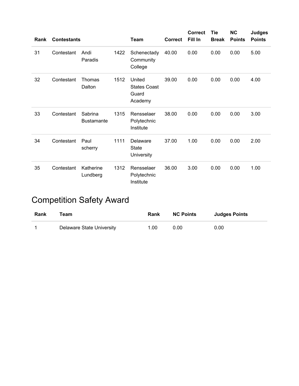| Rank | <b>Contestants</b> |                              |      | <b>Team</b>                                       | <b>Correct</b> | <b>Correct</b><br>Fill In | <b>Tie</b><br><b>Break</b> | <b>NC</b><br><b>Points</b> | <b>Judges</b><br><b>Points</b> |
|------|--------------------|------------------------------|------|---------------------------------------------------|----------------|---------------------------|----------------------------|----------------------------|--------------------------------|
| 31   | Contestant         | Andi<br>Paradis              | 1422 | Schenectady<br>Community<br>College               | 40.00          | 0.00                      | 0.00                       | 0.00                       | 5.00                           |
| 32   | Contestant         | Thomas<br>Dalton             | 1512 | United<br><b>States Coast</b><br>Guard<br>Academy | 39.00          | 0.00                      | 0.00                       | 0.00                       | 4.00                           |
| 33   | Contestant         | Sabrina<br><b>Bustamante</b> | 1315 | Rensselaer<br>Polytechnic<br>Institute            | 38.00          | 0.00                      | 0.00                       | 0.00                       | 3.00                           |
| 34   | Contestant         | Paul<br>scherry              | 1111 | Delaware<br><b>State</b><br>University            | 37.00          | 1.00                      | 0.00                       | 0.00                       | 2.00                           |
| 35   | Contestant         | Katherine<br>Lundberg        | 1312 | Rensselaer<br>Polytechnic<br>Institute            | 36.00          | 3.00                      | 0.00                       | 0.00                       | 1.00                           |

# Competition Safety Award

| Rank | Team                      | Rank | <b>NC Points</b> | <b>Judges Points</b> |
|------|---------------------------|------|------------------|----------------------|
|      | Delaware State University | 1.00 | 0.00             | 0.00                 |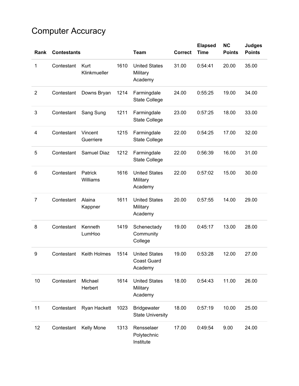# Computer Accuracy

| Rank           | <b>Contestants</b> |                      |      | <b>Team</b>                                           | <b>Correct</b> | <b>Elapsed</b><br><b>Time</b> | <b>NC</b><br><b>Points</b> | <b>Judges</b><br><b>Points</b> |
|----------------|--------------------|----------------------|------|-------------------------------------------------------|----------------|-------------------------------|----------------------------|--------------------------------|
| 1              | Contestant         | Kurt<br>Klinkmueller | 1610 | <b>United States</b><br>Military<br>Academy           | 31.00          | 0:54:41                       | 20.00                      | 35.00                          |
| $\overline{2}$ | Contestant         | Downs Bryan          | 1214 | Farmingdale<br><b>State College</b>                   | 24.00          | 0:55:25                       | 19.00                      | 34.00                          |
| 3              | Contestant         | Sang Sung            | 1211 | Farmingdale<br><b>State College</b>                   | 23.00          | 0:57:25                       | 18.00                      | 33.00                          |
| 4              | Contestant         | Vincent<br>Guerriere | 1215 | Farmingdale<br><b>State College</b>                   | 22.00          | 0:54:25                       | 17.00                      | 32.00                          |
| 5              | Contestant         | <b>Samuel Diaz</b>   | 1212 | Farmingdale<br><b>State College</b>                   | 22.00          | 0:56:39                       | 16.00                      | 31.00                          |
| 6              | Contestant         | Patrick<br>Williams  | 1616 | <b>United States</b><br>Military<br>Academy           | 22.00          | 0:57:02                       | 15.00                      | 30.00                          |
| $\overline{7}$ | Contestant         | Alaina<br>Kappner    | 1611 | <b>United States</b><br>Military<br>Academy           | 20.00          | 0:57:55                       | 14.00                      | 29.00                          |
| 8              | Contestant         | Kenneth<br>LumHoo    | 1419 | Schenectady<br>Community<br>College                   | 19.00          | 0:45:17                       | 13.00                      | 28.00                          |
| 9              | Contestant         | Keith Holmes         | 1514 | <b>United States</b><br><b>Coast Guard</b><br>Academy | 19.00          | 0:53:28                       | 12.00                      | 27.00                          |
| 10             | Contestant         | Michael<br>Herbert   | 1614 | <b>United States</b><br>Military<br>Academy           | 18.00          | 0:54:43                       | 11.00                      | 26.00                          |
| 11             | Contestant         | Ryan Hackett         | 1023 | <b>Bridgewater</b><br><b>State University</b>         | 18.00          | 0:57:19                       | 10.00                      | 25.00                          |
| 12             | Contestant         | Kelly Mone           | 1313 | Rensselaer<br>Polytechnic<br>Institute                | 17.00          | 0:49:54                       | 9.00                       | 24.00                          |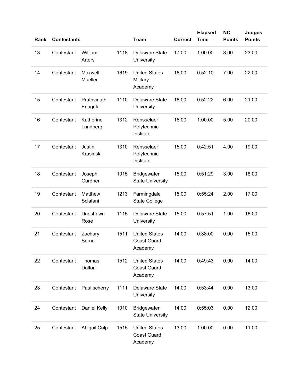| Rank | <b>Contestants</b> |                        |      | <b>Team</b>                                           | <b>Correct</b> | <b>Elapsed</b><br><b>Time</b> | <b>NC</b><br><b>Points</b> | <b>Judges</b><br><b>Points</b> |
|------|--------------------|------------------------|------|-------------------------------------------------------|----------------|-------------------------------|----------------------------|--------------------------------|
| 13   | Contestant         | William<br>Arters      | 1118 | <b>Delaware State</b><br>University                   | 17.00          | 1:00:00                       | 8.00                       | 23.00                          |
| 14   | Contestant         | Maxwell<br>Mueller     | 1619 | <b>United States</b><br>Military<br>Academy           | 16.00          | 0:52:10                       | 7.00                       | 22.00                          |
| 15   | Contestant         | Pruthvinath<br>Enugula | 1110 | <b>Delaware State</b><br>University                   | 16.00          | 0:52:22                       | 6.00                       | 21.00                          |
| 16   | Contestant         | Katherine<br>Lundberg  | 1312 | Rensselaer<br>Polytechnic<br>Institute                | 16.00          | 1:00:00                       | 5.00                       | 20.00                          |
| 17   | Contestant         | Justin<br>Krasinski    | 1310 | Rensselaer<br>Polytechnic<br>Institute                | 15.00          | 0:42:51                       | 4.00                       | 19.00                          |
| 18   | Contestant         | Joseph<br>Gardner      | 1015 | <b>Bridgewater</b><br><b>State University</b>         | 15.00          | 0:51:29                       | 3.00                       | 18.00                          |
| 19   | Contestant         | Matthew<br>Sclafani    | 1213 | Farmingdale<br><b>State College</b>                   | 15.00          | 0:55:24                       | 2.00                       | 17.00                          |
| 20   | Contestant         | Daeshawn<br>Rose       | 1115 | <b>Delaware State</b><br>University                   | 15.00          | 0:57:51                       | 1.00                       | 16.00                          |
| 21   | Contestant         | Zachary<br>Serna       | 1511 | <b>United States</b><br><b>Coast Guard</b><br>Academy | 14.00          | 0:38:00                       | 0.00                       | 15.00                          |
| 22   | Contestant         | Thomas<br>Dalton       | 1512 | <b>United States</b><br><b>Coast Guard</b><br>Academy | 14.00          | 0:49:43                       | 0.00                       | 14.00                          |
| 23   | Contestant         | Paul scherry           | 1111 | <b>Delaware State</b><br>University                   | 14.00          | 0:53:44                       | 0.00                       | 13.00                          |
| 24   | Contestant         | Daniel Kelly           | 1010 | Bridgewater<br><b>State University</b>                | 14.00          | 0:55:03                       | 0.00                       | 12.00                          |
| 25   | Contestant         | Abigail Culp           | 1515 | <b>United States</b><br><b>Coast Guard</b><br>Academy | 13.00          | 1:00:00                       | 0.00                       | 11.00                          |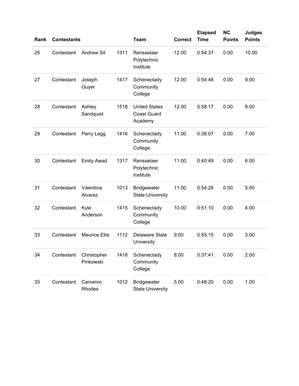| Rank | <b>Contestants</b> |                          |      | <b>Team</b>                                           | <b>Correct</b> | <b>Elapsed</b><br><b>Time</b> | <b>NC</b><br><b>Points</b> | <b>Judges</b><br><b>Points</b> |
|------|--------------------|--------------------------|------|-------------------------------------------------------|----------------|-------------------------------|----------------------------|--------------------------------|
| 26   | Contestant         | <b>Andrew Sit</b>        | 1311 | Rensselaer<br>Polytechnic<br>Institute                | 12.00          | 0:54:37                       | 0.00                       | 10.00                          |
| 27   | Contestant         | Joseph<br>Guyer          | 1417 | Schenectady<br>Community<br>College                   | 12.00          | 0:54:48                       | 0.00                       | 9.00                           |
| 28   | Contestant         | Ashley<br>Sandquist      | 1518 | <b>United States</b><br><b>Coast Guard</b><br>Academy | 12.00          | 0:58:17                       | 0.00                       | 8.00                           |
| 29   | Contestant         | Perry Legg               | 1416 | Schenectady<br>Community<br>College                   | 11.00          | 0:38:07                       | 0.00                       | 7.00                           |
| 30   | Contestant         | <b>Emily Awad</b>        | 1317 | Rensselaer<br>Polytechnic<br>Institute                | 11.00          | 0:40:49                       | 0.00                       | 6.00                           |
| 31   | Contestant         | Valentina<br>Alvarez     | 1013 | <b>Bridgewater</b><br><b>State University</b>         | 11.00          | 0:54:28                       | 0.00                       | 5.00                           |
| 32   | Contestant         | Kyle<br>Anderson         | 1415 | Schenectady<br>Community<br>College                   | 10.00          | 0:51:10                       | 0.00                       | 4.00                           |
| 33   | Contestant         | <b>Maurice Ellis</b>     | 1112 | <b>Delaware State</b><br>University                   | 9.00           | 0:55:15                       | 0.00                       | 3.00                           |
| 34   | Contestant         | Christopher<br>Pinkowski | 1418 | Schenectady<br>Community<br>College                   | 8.00           | 0:37:41                       | 0.00                       | 2.00                           |
| 35   | Contestant         | Cameron<br>Rhodes        | 1012 | <b>Bridgewater</b><br><b>State University</b>         | 5.00           | 0:48:20                       | 0.00                       | 1.00                           |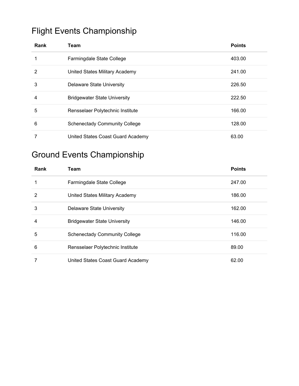#### Flight Events Championship

| Rank | Team                                 | <b>Points</b> |
|------|--------------------------------------|---------------|
|      | Farmingdale State College            | 403.00        |
| 2    | United States Military Academy       | 241.00        |
| 3    | Delaware State University            | 226.50        |
| 4    | <b>Bridgewater State University</b>  | 222.50        |
| 5    | Rensselaer Polytechnic Institute     | 166.00        |
| 6    | <b>Schenectady Community College</b> | 128.00        |
|      | United States Coast Guard Academy    | 63.00         |

#### Ground Events Championship

| Rank           | <b>Team</b>                          | <b>Points</b> |
|----------------|--------------------------------------|---------------|
|                | Farmingdale State College            | 247.00        |
| $\overline{2}$ | United States Military Academy       | 186.00        |
| 3              | Delaware State University            | 162.00        |
| 4              | <b>Bridgewater State University</b>  | 146.00        |
| 5              | <b>Schenectady Community College</b> | 116.00        |
| 6              | Rensselaer Polytechnic Institute     | 89.00         |
|                | United States Coast Guard Academy    | 62.00         |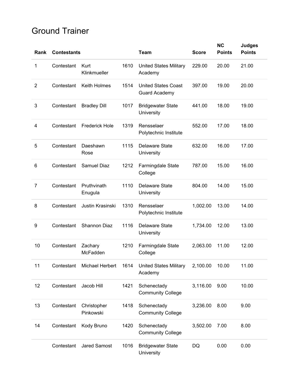#### Ground Trainer

|                |                    |                          |      |                                                    |              | <b>NC</b>     | <b>Judges</b> |
|----------------|--------------------|--------------------------|------|----------------------------------------------------|--------------|---------------|---------------|
| Rank           | <b>Contestants</b> |                          |      | <b>Team</b>                                        | <b>Score</b> | <b>Points</b> | <b>Points</b> |
| 1              | Contestant         | Kurt<br>Klinkmueller     | 1610 | <b>United States Military</b><br>Academy           | 229.00       | 20.00         | 21.00         |
| $\overline{2}$ | Contestant         | Keith Holmes             | 1514 | <b>United States Coast</b><br><b>Guard Academy</b> | 397.00       | 19.00         | 20.00         |
| 3              | Contestant         | <b>Bradley Dill</b>      | 1017 | <b>Bridgewater State</b><br>University             | 441.00       | 18.00         | 19.00         |
| 4              | Contestant         | <b>Frederick Hole</b>    | 1319 | Rensselaer<br>Polytechnic Institute                | 552.00       | 17.00         | 18.00         |
| 5              | Contestant         | Daeshawn<br>Rose         | 1115 | <b>Delaware State</b><br>University                | 632.00       | 16.00         | 17.00         |
| 6              | Contestant         | <b>Samuel Diaz</b>       | 1212 | Farmingdale State<br>College                       | 787.00       | 15.00         | 16.00         |
| 7              | Contestant         | Pruthvinath<br>Enugula   | 1110 | Delaware State<br>University                       | 804.00       | 14.00         | 15.00         |
| 8              | Contestant         | Justin Krasinski         | 1310 | Rensselaer<br>Polytechnic Institute                | 1,002.00     | 13.00         | 14.00         |
| 9              | Contestant         | <b>Shannon Diaz</b>      | 1116 | <b>Delaware State</b><br>University                | 1,734.00     | 12.00         | 13.00         |
| 10             | Contestant         | Zachary<br>McFadden      | 1210 | Farmingdale State<br>College                       | 2,063.00     | 11.00         | 12.00         |
| 11             | Contestant         | Michael Herbert          | 1614 | <b>United States Military</b><br>Academy           | 2,100.00     | 10.00         | 11.00         |
| 12             | Contestant         | Jacob Hill               | 1421 | Schenectady<br><b>Community College</b>            | 3,116.00     | 9.00          | 10.00         |
| 13             | Contestant         | Christopher<br>Pinkowski | 1418 | Schenectady<br><b>Community College</b>            | 3,236.00     | 8.00          | 9.00          |
| 14             | Contestant         | Kody Bruno               | 1420 | Schenectady<br><b>Community College</b>            | 3,502.00     | 7.00          | 8.00          |
|                | Contestant         | <b>Jared Samost</b>      | 1016 | <b>Bridgewater State</b><br>University             | DQ           | 0.00          | 0.00          |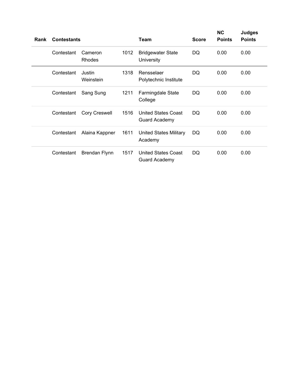| Rank | <b>Contestants</b> |                      |      | Team                                               | <b>Score</b> | <b>NC</b><br><b>Points</b> | <b>Judges</b><br><b>Points</b> |
|------|--------------------|----------------------|------|----------------------------------------------------|--------------|----------------------------|--------------------------------|
|      | Contestant         | Cameron<br>Rhodes    | 1012 | <b>Bridgewater State</b><br>University             | DQ           | 0.00                       | 0.00                           |
|      | Contestant         | Justin<br>Weinstein  | 1318 | Rensselaer<br>Polytechnic Institute                | DQ           | 0.00                       | 0.00                           |
|      | Contestant         | Sang Sung            | 1211 | <b>Farmingdale State</b><br>College                | DQ           | 0.00                       | 0.00                           |
|      | Contestant         | <b>Cory Creswell</b> | 1516 | United States Coast<br><b>Guard Academy</b>        | DQ           | 0.00                       | 0.00                           |
|      | Contestant         | Alaina Kappner       | 1611 | <b>United States Military</b><br>Academy           | DQ           | 0.00                       | 0.00                           |
|      | Contestant         | <b>Brendan Flynn</b> | 1517 | <b>United States Coast</b><br><b>Guard Academy</b> | DQ           | 0.00                       | 0.00                           |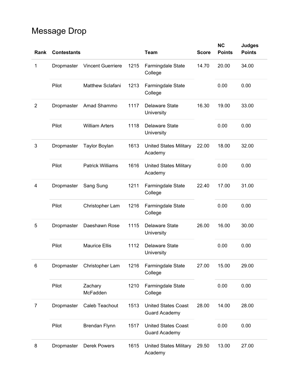# Message Drop

| Rank           | <b>Contestants</b> |                          |      | <b>Team</b>                                        | <b>Score</b> | <b>NC</b><br><b>Points</b> | <b>Judges</b><br><b>Points</b> |
|----------------|--------------------|--------------------------|------|----------------------------------------------------|--------------|----------------------------|--------------------------------|
| 1              | Dropmaster         | <b>Vincent Guerriere</b> | 1215 | Farmingdale State<br>College                       | 14.70        | 20.00                      | 34.00                          |
|                | Pilot              | Matthew Sclafani         | 1213 | Farmingdale State<br>College                       |              | 0.00                       | 0.00                           |
| $\overline{2}$ | Dropmaster         | Amad Shammo              | 1117 | <b>Delaware State</b><br>University                | 16.30        | 19.00                      | 33.00                          |
|                | Pilot              | <b>William Arters</b>    | 1118 | <b>Delaware State</b><br>University                |              | 0.00                       | 0.00                           |
| $\mathbf{3}$   | Dropmaster         | <b>Taylor Boylan</b>     | 1613 | <b>United States Military</b><br>Academy           | 22.00        | 18.00                      | 32.00                          |
|                | Pilot              | <b>Patrick Williams</b>  | 1616 | <b>United States Military</b><br>Academy           |              | 0.00                       | 0.00                           |
| 4              | Dropmaster         | Sang Sung                | 1211 | Farmingdale State<br>College                       | 22.40        | 17.00                      | 31.00                          |
|                | Pilot              | Christopher Lam          | 1216 | Farmingdale State<br>College                       |              | 0.00                       | 0.00                           |
| 5              | Dropmaster         | Daeshawn Rose            | 1115 | <b>Delaware State</b><br>University                | 26.00        | 16.00                      | 30.00                          |
|                | Pilot              | <b>Maurice Ellis</b>     | 1112 | <b>Delaware State</b><br>University                |              | 0.00                       | 0.00                           |
| 6              | Dropmaster         | Christopher Lam          | 1216 | Farmingdale State<br>College                       | 27.00        | 15.00                      | 29.00                          |
|                | Pilot              | Zachary<br>McFadden      | 1210 | Farmingdale State<br>College                       |              | 0.00                       | 0.00                           |
| $\overline{7}$ | Dropmaster         | Caleb Teachout           | 1513 | <b>United States Coast</b><br><b>Guard Academy</b> | 28.00        | 14.00                      | 28.00                          |
|                | Pilot              | <b>Brendan Flynn</b>     | 1517 | <b>United States Coast</b><br><b>Guard Academy</b> |              | 0.00                       | 0.00                           |
| 8              | Dropmaster         | <b>Derek Powers</b>      | 1615 | <b>United States Military</b><br>Academy           | 29.50        | 13.00                      | 27.00                          |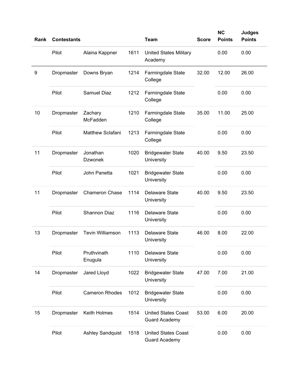| Rank | <b>Contestants</b> |                            |      | <b>Team</b>                                        | <b>Score</b> | <b>NC</b><br><b>Points</b> | <b>Judges</b><br><b>Points</b> |
|------|--------------------|----------------------------|------|----------------------------------------------------|--------------|----------------------------|--------------------------------|
|      | Pilot              | Alaina Kappner             | 1611 | <b>United States Military</b><br>Academy           |              | 0.00                       | 0.00                           |
| 9    | Dropmaster         | Downs Bryan                | 1214 | Farmingdale State<br>College                       | 32.00        | 12.00                      | 26.00                          |
|      | Pilot              | <b>Samuel Diaz</b>         | 1212 | Farmingdale State<br>College                       |              | 0.00                       | 0.00                           |
| 10   | Dropmaster         | Zachary<br>McFadden        | 1210 | Farmingdale State<br>College                       | 35.00        | 11.00                      | 25.00                          |
|      | Pilot              | Matthew Sclafani           | 1213 | Farmingdale State<br>College                       |              | 0.00                       | 0.00                           |
| 11   | Dropmaster         | Jonathan<br><b>Dzwonek</b> | 1020 | <b>Bridgewater State</b><br>University             | 40.00        | 9.50                       | 23.50                          |
|      | Pilot              | John Panetta               | 1021 | <b>Bridgewater State</b><br>University             |              | 0.00                       | 0.00                           |
| 11   | Dropmaster         | <b>Chameron Chase</b>      | 1114 | <b>Delaware State</b><br>University                | 40.00        | 9.50                       | 23.50                          |
|      | Pilot              | Shannon Diaz               | 1116 | <b>Delaware State</b><br>University                |              | 0.00                       | 0.00                           |
| 13   | Dropmaster         | <b>Tevin Williamson</b>    | 1113 | <b>Delaware State</b><br>University                | 46.00        | 8.00                       | 22.00                          |
|      | Pilot              | Pruthvinath<br>Enugula     | 1110 | Delaware State<br>University                       |              | 0.00                       | 0.00                           |
| 14   | Dropmaster         | Jared Lloyd                | 1022 | <b>Bridgewater State</b><br>University             | 47.00        | 7.00                       | 21.00                          |
|      | Pilot              | <b>Cameron Rhodes</b>      | 1012 | <b>Bridgewater State</b><br>University             |              | 0.00                       | 0.00                           |
| 15   | Dropmaster         | Keith Holmes               | 1514 | <b>United States Coast</b><br><b>Guard Academy</b> | 53.00        | 6.00                       | 20.00                          |
|      | Pilot              | <b>Ashley Sandquist</b>    | 1518 | <b>United States Coast</b><br><b>Guard Academy</b> |              | 0.00                       | 0.00                           |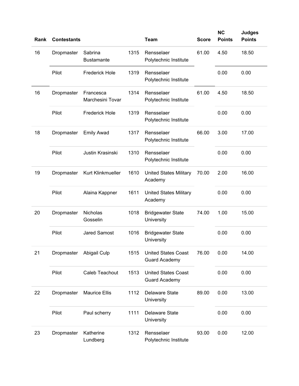| Rank | <b>Contestants</b> |                               |      | <b>Team</b>                                        | <b>Score</b> | <b>NC</b><br><b>Points</b> | <b>Judges</b><br><b>Points</b> |
|------|--------------------|-------------------------------|------|----------------------------------------------------|--------------|----------------------------|--------------------------------|
| 16   | Dropmaster         | Sabrina<br><b>Bustamante</b>  | 1315 | Rensselaer<br>Polytechnic Institute                | 61.00        | 4.50                       | 18.50                          |
|      | Pilot              | <b>Frederick Hole</b>         | 1319 | Rensselaer<br>Polytechnic Institute                |              | 0.00                       | 0.00                           |
| 16   | Dropmaster         | Francesca<br>Marchesini Tovar | 1314 | Rensselaer<br>Polytechnic Institute                | 61.00        | 4.50                       | 18.50                          |
|      | Pilot              | <b>Frederick Hole</b>         | 1319 | Rensselaer<br>Polytechnic Institute                |              | 0.00                       | 0.00                           |
| 18   | Dropmaster         | <b>Emily Awad</b>             | 1317 | Rensselaer<br>Polytechnic Institute                | 66.00        | 3.00                       | 17.00                          |
|      | Pilot              | Justin Krasinski              | 1310 | Rensselaer<br>Polytechnic Institute                |              | 0.00                       | 0.00                           |
| 19   | Dropmaster         | Kurt Klinkmueller             | 1610 | <b>United States Military</b><br>Academy           | 70.00        | 2.00                       | 16.00                          |
|      | Pilot              | Alaina Kappner                | 1611 | <b>United States Military</b><br>Academy           |              | 0.00                       | 0.00                           |
| 20   | Dropmaster         | Nicholas<br>Gosselin          | 1018 | <b>Bridgewater State</b><br>University             | 74.00        | 1.00                       | 15.00                          |
|      | Pilot              | <b>Jared Samost</b>           | 1016 | <b>Bridgewater State</b><br>University             |              | 0.00                       | 0.00                           |
| 21   | Dropmaster         | Abigail Culp                  | 1515 | <b>United States Coast</b><br><b>Guard Academy</b> | 76.00        | 0.00                       | 14.00                          |
|      | Pilot              | Caleb Teachout                | 1513 | <b>United States Coast</b><br><b>Guard Academy</b> |              | 0.00                       | 0.00                           |
| 22   | Dropmaster         | <b>Maurice Ellis</b>          | 1112 | Delaware State<br>University                       | 89.00        | 0.00                       | 13.00                          |
|      | Pilot              | Paul scherry                  | 1111 | Delaware State<br>University                       |              | 0.00                       | 0.00                           |
| 23   | Dropmaster         | Katherine<br>Lundberg         | 1312 | Rensselaer<br>Polytechnic Institute                | 93.00        | 0.00                       | 12.00                          |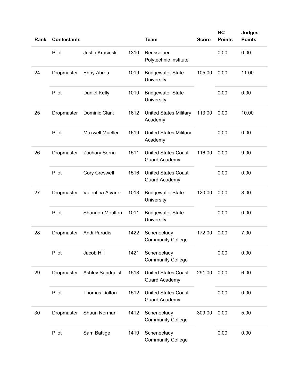| Rank | <b>Contestants</b> |                         |      | <b>Team</b>                                        | <b>Score</b> | <b>NC</b><br><b>Points</b> | <b>Judges</b><br><b>Points</b> |
|------|--------------------|-------------------------|------|----------------------------------------------------|--------------|----------------------------|--------------------------------|
|      | Pilot              | Justin Krasinski        | 1310 | Rensselaer<br>Polytechnic Institute                |              | 0.00                       | 0.00                           |
| 24   | Dropmaster         | Enny Abreu              | 1019 | <b>Bridgewater State</b><br>University             | 105.00       | 0.00                       | 11.00                          |
|      | Pilot              | Daniel Kelly            | 1010 | <b>Bridgewater State</b><br>University             |              | 0.00                       | 0.00                           |
| 25   | Dropmaster         | Dominic Clark           | 1612 | <b>United States Military</b><br>Academy           | 113.00       | 0.00                       | 10.00                          |
|      | Pilot              | <b>Maxwell Mueller</b>  | 1619 | <b>United States Military</b><br>Academy           |              | 0.00                       | 0.00                           |
| 26   | Dropmaster         | Zachary Serna           | 1511 | <b>United States Coast</b><br><b>Guard Academy</b> | 116.00       | 0.00                       | 9.00                           |
|      | Pilot              | <b>Cory Creswell</b>    | 1516 | <b>United States Coast</b><br><b>Guard Academy</b> |              | 0.00                       | 0.00                           |
| 27   | Dropmaster         | Valentina Alvarez       | 1013 | <b>Bridgewater State</b><br>University             | 120.00       | 0.00                       | 8.00                           |
|      | Pilot              | <b>Shannon Moulton</b>  | 1011 | <b>Bridgewater State</b><br>University             |              | 0.00                       | 0.00                           |
| 28   | Dropmaster         | Andi Paradis            | 1422 | Schenectady<br><b>Community College</b>            | 172.00       | 0.00                       | 7.00                           |
|      | Pilot              | Jacob Hill              | 1421 | Schenectady<br><b>Community College</b>            |              | 0.00                       | 0.00                           |
| 29   | Dropmaster         | <b>Ashley Sandquist</b> | 1518 | <b>United States Coast</b><br><b>Guard Academy</b> | 291.00       | 0.00                       | 6.00                           |
|      | Pilot              | <b>Thomas Dalton</b>    | 1512 | <b>United States Coast</b><br><b>Guard Academy</b> |              | 0.00                       | 0.00                           |
| 30   | Dropmaster         | Shaun Norman            | 1412 | Schenectady<br><b>Community College</b>            | 309.00       | 0.00                       | 5.00                           |
|      | Pilot              | Sam Battige             | 1410 | Schenectady<br><b>Community College</b>            |              | 0.00                       | 0.00                           |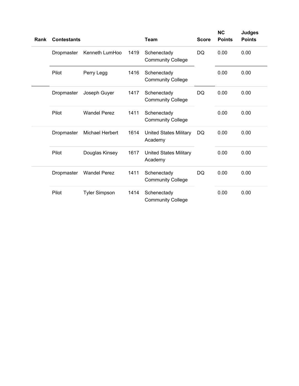| Rank | <b>Contestants</b> |                      |      | <b>Team</b>                              | <b>Score</b> | <b>NC</b><br><b>Points</b> | <b>Judges</b><br><b>Points</b> |
|------|--------------------|----------------------|------|------------------------------------------|--------------|----------------------------|--------------------------------|
|      | Dropmaster         | Kenneth LumHoo       | 1419 | Schenectady<br><b>Community College</b>  | <b>DQ</b>    | 0.00                       | 0.00                           |
|      | Pilot              | Perry Legg           | 1416 | Schenectady<br><b>Community College</b>  |              | 0.00                       | 0.00                           |
|      | Dropmaster         | Joseph Guyer         | 1417 | Schenectady<br><b>Community College</b>  | <b>DQ</b>    | 0.00                       | 0.00                           |
|      | Pilot              | <b>Wandel Perez</b>  | 1411 | Schenectady<br><b>Community College</b>  |              | 0.00                       | 0.00                           |
|      | Dropmaster         | Michael Herbert      | 1614 | <b>United States Military</b><br>Academy | DQ           | 0.00                       | 0.00                           |
|      | Pilot              | Douglas Kinsey       | 1617 | <b>United States Military</b><br>Academy |              | 0.00                       | 0.00                           |
|      | Dropmaster         | <b>Wandel Perez</b>  | 1411 | Schenectady<br><b>Community College</b>  | <b>DQ</b>    | 0.00                       | 0.00                           |
|      | Pilot              | <b>Tyler Simpson</b> | 1414 | Schenectady<br><b>Community College</b>  |              | 0.00                       | 0.00                           |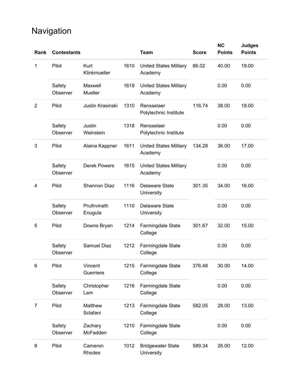# Navigation

| Rank           | <b>Contestants</b> |                        |      | <b>Team</b>                              | <b>Score</b> | <b>NC</b><br><b>Points</b> | <b>Judges</b><br><b>Points</b> |
|----------------|--------------------|------------------------|------|------------------------------------------|--------------|----------------------------|--------------------------------|
| 1              | Pilot              | Kurt<br>Klinkmueller   | 1610 | <b>United States Military</b><br>Academy | 86.02        | 40.00                      | 19.00                          |
|                | Safety<br>Observer | Maxwell<br>Mueller     | 1619 | <b>United States Military</b><br>Academy |              | 0.00                       | 0.00                           |
| $\overline{2}$ | Pilot              | Justin Krasinski       | 1310 | Rensselaer<br>Polytechnic Institute      | 116.74       | 38.00                      | 18.00                          |
|                | Safety<br>Observer | Justin<br>Weinstein    | 1318 | Rensselaer<br>Polytechnic Institute      |              | 0.00                       | 0.00                           |
| 3              | Pilot              | Alaina Kappner         | 1611 | <b>United States Military</b><br>Academy | 134.28       | 36.00                      | 17.00                          |
|                | Safety<br>Observer | <b>Derek Powers</b>    | 1615 | <b>United States Military</b><br>Academy |              | 0.00                       | 0.00                           |
| 4              | Pilot              | <b>Shannon Diaz</b>    | 1116 | <b>Delaware State</b><br>University      | 301.35       | 34.00                      | 16.00                          |
|                | Safety<br>Observer | Pruthvinath<br>Enugula | 1110 | Delaware State<br>University             |              | 0.00                       | 0.00                           |
| 5              | Pilot              | Downs Bryan            | 1214 | Farmingdale State<br>College             | 301.67       | 32.00                      | 15.00                          |
|                | Safety<br>Observer | Samuel Diaz            | 1212 | Farmingdale State<br>College             |              | 0.00                       | 0.00                           |
| 6              | Pilot              | Vincent<br>Guerriere   | 1215 | Farmingdale State<br>College             | 376.48       | 30.00                      | 14.00                          |
|                | Safety<br>Observer | Christopher<br>Lam     | 1216 | Farmingdale State<br>College             |              | 0.00                       | 0.00                           |
| 7              | Pilot              | Matthew<br>Sclafani    | 1213 | Farmingdale State<br>College             | 582.05       | 28.00                      | 13.00                          |
|                | Safety<br>Observer | Zachary<br>McFadden    | 1210 | Farmingdale State<br>College             |              | 0.00                       | 0.00                           |
| 8              | Pilot              | Cameron<br>Rhodes      | 1012 | <b>Bridgewater State</b><br>University   | 589.34       | 26.00                      | 12.00                          |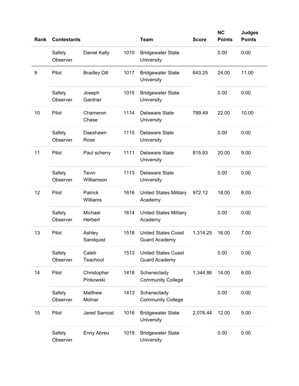| Rank | <b>Contestants</b> |                          |      | <b>Team</b>                                        | <b>Score</b> | <b>NC</b><br><b>Points</b> | <b>Judges</b><br><b>Points</b> |
|------|--------------------|--------------------------|------|----------------------------------------------------|--------------|----------------------------|--------------------------------|
|      | Safety<br>Observer | Daniel Kelly             | 1010 | <b>Bridgewater State</b><br>University             |              | 0.00                       | 0.00                           |
| 9    | Pilot              | <b>Bradley Dill</b>      | 1017 | <b>Bridgewater State</b><br>University             | 643.25       | 24.00                      | 11.00                          |
|      | Safety<br>Observer | Joseph<br>Gardner        | 1015 | <b>Bridgewater State</b><br>University             |              | 0.00                       | 0.00                           |
| 10   | Pilot              | Chameron<br>Chase        | 1114 | <b>Delaware State</b><br>University                | 789.49       | 22.00                      | 10.00                          |
|      | Safety<br>Observer | Daeshawn<br>Rose         | 1115 | <b>Delaware State</b><br>University                |              | 0.00                       | 0.00                           |
| 11   | Pilot              | Paul scherry             | 1111 | <b>Delaware State</b><br>University                | 815.93       | 20.00                      | 9.00                           |
|      | Safety<br>Observer | Tevin<br>Williamson      | 1113 | <b>Delaware State</b><br>University                |              | 0.00                       | 0.00                           |
| 12   | Pilot              | Patrick<br>Williams      | 1616 | <b>United States Military</b><br>Academy           | 972.12       | 18.00                      | 8.00                           |
|      | Safety<br>Observer | Michael<br>Herbert       | 1614 | <b>United States Military</b><br>Academy           |              | 0.00                       | 0.00                           |
| 13   | Pilot              | Ashley<br>Sandquist      | 1518 | <b>United States Coast</b><br><b>Guard Academy</b> | 1,314.25     | 16.00                      | 7.00                           |
|      | Safety<br>Observer | Caleb<br>Teachout        | 1513 | <b>United States Coast</b><br><b>Guard Academy</b> |              | 0.00                       | 0.00                           |
| 14   | Pilot              | Christopher<br>Pinkowski | 1418 | Schenectady<br><b>Community College</b>            | 1,344.86     | 14.00                      | 6.00                           |
|      | Safety<br>Observer | Matthew<br>Molnar        | 1413 | Schenectady<br><b>Community College</b>            |              | 0.00                       | 0.00                           |
| 15   | Pilot              | <b>Jared Samost</b>      | 1016 | <b>Bridgewater State</b><br>University             | 2,076.44     | 12.00                      | 5.00                           |
|      | Safety<br>Observer | Enny Abreu               | 1019 | <b>Bridgewater State</b><br>University             |              | 0.00                       | 0.00                           |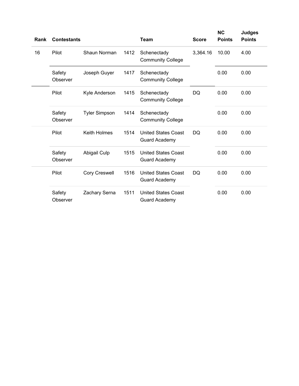| Rank | <b>Contestants</b> |                      |      | <b>Team</b>                                        | <b>Score</b> | <b>NC</b><br><b>Points</b> | <b>Judges</b><br><b>Points</b> |
|------|--------------------|----------------------|------|----------------------------------------------------|--------------|----------------------------|--------------------------------|
| 16   | Pilot              | Shaun Norman         | 1412 | Schenectady<br><b>Community College</b>            | 3,364.16     | 10.00                      | 4.00                           |
|      | Safety<br>Observer | Joseph Guyer         | 1417 | Schenectady<br><b>Community College</b>            |              | 0.00                       | 0.00                           |
|      | Pilot              | Kyle Anderson        | 1415 | Schenectady<br><b>Community College</b>            | <b>DQ</b>    | 0.00                       | 0.00                           |
|      | Safety<br>Observer | <b>Tyler Simpson</b> | 1414 | Schenectady<br><b>Community College</b>            |              | 0.00                       | 0.00                           |
|      | Pilot              | Keith Holmes         | 1514 | <b>United States Coast</b><br><b>Guard Academy</b> | <b>DQ</b>    | 0.00                       | 0.00                           |
|      | Safety<br>Observer | Abigail Culp         | 1515 | <b>United States Coast</b><br><b>Guard Academy</b> |              | 0.00                       | 0.00                           |
|      | Pilot              | Cory Creswell        | 1516 | <b>United States Coast</b><br><b>Guard Academy</b> | <b>DQ</b>    | 0.00                       | 0.00                           |
|      | Safety<br>Observer | Zachary Serna        | 1511 | <b>United States Coast</b><br><b>Guard Academy</b> |              | 0.00                       | 0.00                           |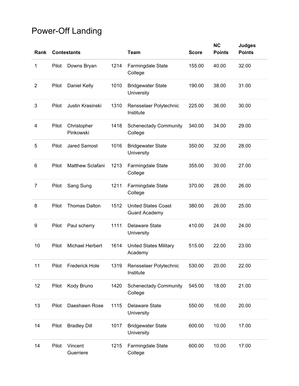## Power-Off Landing

| Rank           |       | <b>Contestants</b>       |      | <b>Team</b>                                        | <b>Score</b> | <b>NC</b><br><b>Points</b> | <b>Judges</b><br><b>Points</b> |
|----------------|-------|--------------------------|------|----------------------------------------------------|--------------|----------------------------|--------------------------------|
| 1              | Pilot | Downs Bryan              | 1214 | Farmingdale State<br>College                       | 155.00       | 40.00                      | 32.00                          |
| $\overline{2}$ | Pilot | Daniel Kelly             | 1010 | <b>Bridgewater State</b><br>University             | 190.00       | 38.00                      | 31.00                          |
| 3              | Pilot | Justin Krasinski         | 1310 | Rensselaer Polytechnic<br>Institute                | 225.00       | 36.00                      | 30.00                          |
| 4              | Pilot | Christopher<br>Pinkowski | 1418 | <b>Schenectady Community</b><br>College            | 340.00       | 34.00                      | 29.00                          |
| 5              | Pilot | <b>Jared Samost</b>      | 1016 | <b>Bridgewater State</b><br>University             | 350.00       | 32.00                      | 28.00                          |
| 6              | Pilot | <b>Matthew Sclafani</b>  | 1213 | Farmingdale State<br>College                       | 355.00       | 30.00                      | 27.00                          |
| $\overline{7}$ | Pilot | Sang Sung                | 1211 | Farmingdale State<br>College                       | 370.00       | 28.00                      | 26.00                          |
| 8              | Pilot | <b>Thomas Dalton</b>     | 1512 | <b>United States Coast</b><br><b>Guard Academy</b> | 380.00       | 26.00                      | 25.00                          |
| 9              | Pilot | Paul scherry             | 1111 | <b>Delaware State</b><br>University                | 410.00       | 24.00                      | 24.00                          |
| 10             | Pilot | <b>Michael Herbert</b>   | 1614 | <b>United States Military</b><br>Academy           | 515.00       | 22.00                      | 23.00                          |
| 11             | Pilot | <b>Frederick Hole</b>    | 1319 | Rensselaer Polytechnic<br>Institute                | 530.00       | 20.00                      | 22.00                          |
| 12             | Pilot | Kody Bruno               | 1420 | <b>Schenectady Community</b><br>College            | 545.00       | 18.00                      | 21.00                          |
| 13             | Pilot | Daeshawn Rose            | 1115 | <b>Delaware State</b><br>University                | 550.00       | 16.00                      | 20.00                          |
| 14             | Pilot | <b>Bradley Dill</b>      | 1017 | <b>Bridgewater State</b><br>University             | 600.00       | 10.00                      | 17.00                          |
| 14             | Pilot | Vincent<br>Guerriere     | 1215 | Farmingdale State<br>College                       | 600.00       | 10.00                      | 17.00                          |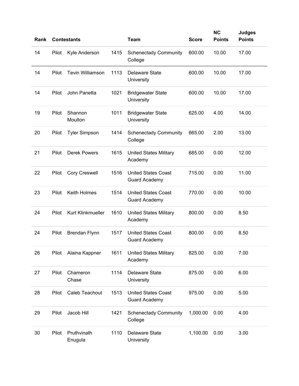| Rank |       | <b>Contestants</b>      |      | <b>Team</b>                                        | <b>Score</b> | <b>NC</b><br><b>Points</b> | <b>Judges</b><br><b>Points</b> |
|------|-------|-------------------------|------|----------------------------------------------------|--------------|----------------------------|--------------------------------|
| 14   | Pilot | Kyle Anderson           | 1415 | <b>Schenectady Community</b><br>College            | 600.00       | 10.00                      | 17.00                          |
| 14   | Pilot | <b>Tevin Williamson</b> | 1113 | <b>Delaware State</b><br>University                | 600.00       | 10.00                      | 17.00                          |
| 14   | Pilot | John Panetta            | 1021 | <b>Bridgewater State</b><br>University             | 600.00       | 10.00                      | 17.00                          |
| 19   | Pilot | Shannon<br>Moulton      | 1011 | <b>Bridgewater State</b><br>University             | 625.00       | 4.00                       | 14.00                          |
| 20   | Pilot | <b>Tyler Simpson</b>    | 1414 | <b>Schenectady Community</b><br>College            | 665.00       | 2.00                       | 13.00                          |
| 21   | Pilot | <b>Derek Powers</b>     | 1615 | <b>United States Military</b><br>Academy           | 685.00       | 0.00                       | 12.00                          |
| 22   | Pilot | <b>Cory Creswell</b>    | 1516 | <b>United States Coast</b><br><b>Guard Academy</b> | 715.00       | 0.00                       | 11.00                          |
| 23   | Pilot | Keith Holmes            | 1514 | <b>United States Coast</b><br><b>Guard Academy</b> | 770.00       | 0.00                       | 10.00                          |
| 24   | Pilot | Kurt Klinkmueller       | 1610 | <b>United States Military</b><br>Academy           | 800.00       | 0.00                       | 8.50                           |
| 24   | Pilot | <b>Brendan Flynn</b>    | 1517 | <b>United States Coast</b><br><b>Guard Academy</b> | 800.00       | 0.00                       | 8.50                           |
| 26   | Pilot | Alaina Kappner          | 1611 | <b>United States Military</b><br>Academy           | 825.00       | 0.00                       | 7.00                           |
| 27   | Pilot | Chameron<br>Chase       | 1114 | <b>Delaware State</b><br>University                | 875.00       | 0.00                       | 6.00                           |
| 28   | Pilot | Caleb Teachout          | 1513 | <b>United States Coast</b><br><b>Guard Academy</b> | 975.00       | 0.00                       | 5.00                           |
| 29   | Pilot | Jacob Hill              | 1421 | <b>Schenectady Community</b><br>College            | 1,000.00     | 0.00                       | 4.00                           |
| 30   | Pilot | Pruthvinath<br>Enugula  | 1110 | <b>Delaware State</b><br>University                | 1,100.00     | 0.00                       | 3.00                           |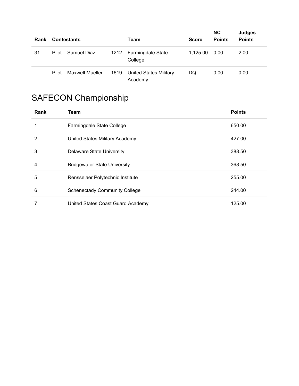| Rank |       | <b>Contestants</b>     |      | Team                                     | <b>Score</b> | <b>NC</b><br><b>Points</b> | <b>Judges</b><br><b>Points</b> |  |
|------|-------|------------------------|------|------------------------------------------|--------------|----------------------------|--------------------------------|--|
| 31   | Pilot | Samuel Diaz            |      | 1212 Farmingdale State<br>College        | 1.125.00     | 0.00                       | 2.00                           |  |
|      | Pilot | <b>Maxwell Mueller</b> | 1619 | <b>United States Military</b><br>Academy | DQ           | 0.00                       | 0.00                           |  |

# SAFECON Championship

| Rank | <b>Team</b>                          | <b>Points</b> |
|------|--------------------------------------|---------------|
|      | Farmingdale State College            | 650.00        |
| 2    | United States Military Academy       | 427.00        |
| 3    | <b>Delaware State University</b>     | 388.50        |
| 4    | <b>Bridgewater State University</b>  | 368.50        |
| 5    | Rensselaer Polytechnic Institute     | 255.00        |
| 6    | <b>Schenectady Community College</b> | 244.00        |
|      | United States Coast Guard Academy    | 125.00        |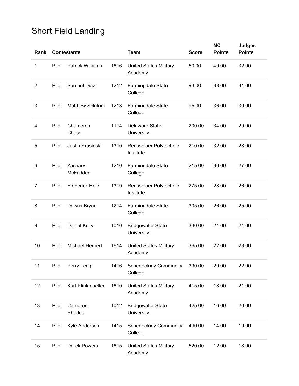## Short Field Landing

| Rank           |       | <b>Contestants</b>      |      | <b>Team</b>                              | <b>Score</b> | <b>NC</b><br><b>Points</b> | <b>Judges</b><br><b>Points</b> |
|----------------|-------|-------------------------|------|------------------------------------------|--------------|----------------------------|--------------------------------|
| 1              | Pilot | <b>Patrick Williams</b> | 1616 | <b>United States Military</b><br>Academy | 50.00        | 40.00                      | 32.00                          |
| $\overline{2}$ | Pilot | <b>Samuel Diaz</b>      | 1212 | Farmingdale State<br>College             | 93.00        | 38.00                      | 31.00                          |
| 3              | Pilot | Matthew Sclafani        | 1213 | Farmingdale State<br>College             | 95.00        | 36.00                      | 30.00                          |
| 4              | Pilot | Chameron<br>Chase       | 1114 | <b>Delaware State</b><br>University      | 200.00       | 34.00                      | 29.00                          |
| 5              | Pilot | Justin Krasinski        | 1310 | Rensselaer Polytechnic<br>Institute      | 210.00       | 32.00                      | 28.00                          |
| 6              | Pilot | Zachary<br>McFadden     | 1210 | Farmingdale State<br>College             | 215.00       | 30.00                      | 27.00                          |
| 7              | Pilot | <b>Frederick Hole</b>   | 1319 | Rensselaer Polytechnic<br>Institute      | 275.00       | 28.00                      | 26.00                          |
| 8              | Pilot | Downs Bryan             | 1214 | Farmingdale State<br>College             | 305.00       | 26.00                      | 25.00                          |
| 9              | Pilot | Daniel Kelly            | 1010 | <b>Bridgewater State</b><br>University   | 330.00       | 24.00                      | 24.00                          |
| 10             | Pilot | <b>Michael Herbert</b>  | 1614 | <b>United States Military</b><br>Academy | 365.00       | 22.00                      | 23.00                          |
| 11             | Pilot | Perry Legg              | 1416 | <b>Schenectady Community</b><br>College  | 390.00       | 20.00                      | 22.00                          |
| 12             | Pilot | Kurt Klinkmueller       | 1610 | <b>United States Military</b><br>Academy | 415.00       | 18.00                      | 21.00                          |
| 13             | Pilot | Cameron<br>Rhodes       | 1012 | <b>Bridgewater State</b><br>University   | 425.00       | 16.00                      | 20.00                          |
| 14             | Pilot | Kyle Anderson           | 1415 | <b>Schenectady Community</b><br>College  | 490.00       | 14.00                      | 19.00                          |
| 15             | Pilot | <b>Derek Powers</b>     | 1615 | <b>United States Military</b><br>Academy | 520.00       | 12.00                      | 18.00                          |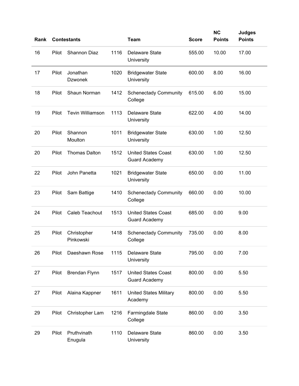| Rank |       | <b>Contestants</b>         |      | <b>Team</b>                                        | <b>Score</b> | <b>NC</b><br><b>Points</b> | <b>Judges</b><br><b>Points</b> |
|------|-------|----------------------------|------|----------------------------------------------------|--------------|----------------------------|--------------------------------|
| 16   | Pilot | <b>Shannon Diaz</b>        | 1116 | <b>Delaware State</b><br>University                | 555.00       | 10.00                      | 17.00                          |
| 17   | Pilot | Jonathan<br><b>Dzwonek</b> | 1020 | <b>Bridgewater State</b><br>University             | 600.00       | 8.00                       | 16.00                          |
| 18   | Pilot | Shaun Norman               | 1412 | <b>Schenectady Community</b><br>College            | 615.00       | 6.00                       | 15.00                          |
| 19   | Pilot | <b>Tevin Williamson</b>    | 1113 | <b>Delaware State</b><br>University                | 622.00       | 4.00                       | 14.00                          |
| 20   | Pilot | Shannon<br>Moulton         | 1011 | <b>Bridgewater State</b><br>University             | 630.00       | 1.00                       | 12.50                          |
| 20   | Pilot | <b>Thomas Dalton</b>       | 1512 | <b>United States Coast</b><br><b>Guard Academy</b> | 630.00       | 1.00                       | 12.50                          |
| 22   | Pilot | John Panetta               | 1021 | <b>Bridgewater State</b><br>University             | 650.00       | 0.00                       | 11.00                          |
| 23   | Pilot | Sam Battige                | 1410 | <b>Schenectady Community</b><br>College            | 660.00       | 0.00                       | 10.00                          |
| 24   | Pilot | Caleb Teachout             | 1513 | <b>United States Coast</b><br><b>Guard Academy</b> | 685.00       | 0.00                       | 9.00                           |
| 25   | Pilot | Christopher<br>Pinkowski   | 1418 | <b>Schenectady Community</b><br>College            | 735.00       | 0.00                       | 8.00                           |
| 26   | Pilot | Daeshawn Rose              | 1115 | Delaware State<br>University                       | 795.00       | 0.00                       | 7.00                           |
| 27   | Pilot | Brendan Flynn              | 1517 | <b>United States Coast</b><br><b>Guard Academy</b> | 800.00       | 0.00                       | 5.50                           |
| 27   | Pilot | Alaina Kappner             | 1611 | <b>United States Military</b><br>Academy           | 800.00       | 0.00                       | 5.50                           |
| 29   | Pilot | Christopher Lam            | 1216 | Farmingdale State<br>College                       | 860.00       | 0.00                       | 3.50                           |
| 29   | Pilot | Pruthvinath<br>Enugula     | 1110 | Delaware State<br>University                       | 860.00       | 0.00                       | 3.50                           |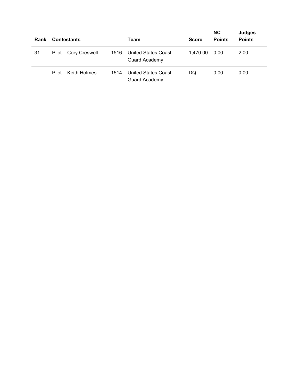| Rank |       | <b>Contestants</b>  |      | Team                                               | <b>Score</b> | <b>NC</b><br><b>Points</b> | <b>Judges</b><br><b>Points</b> |
|------|-------|---------------------|------|----------------------------------------------------|--------------|----------------------------|--------------------------------|
| 31   |       | Pilot Cory Creswell | 1516 | <b>United States Coast</b><br><b>Guard Academy</b> | 1,470.00     | 0.00                       | 2.00                           |
|      | Pilot | Keith Holmes        | 1514 | <b>United States Coast</b><br><b>Guard Academy</b> | DQ           | 0.00                       | 0.00                           |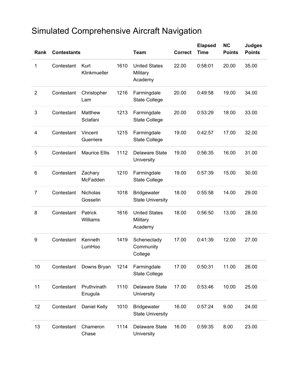## Simulated Comprehensive Aircraft Navigation

| Rank | <b>Contestants</b> |                        |      | <b>Team</b>                                   | <b>Correct</b> | <b>Elapsed</b><br><b>Time</b> | <b>NC</b><br><b>Points</b> | <b>Judges</b><br><b>Points</b> |
|------|--------------------|------------------------|------|-----------------------------------------------|----------------|-------------------------------|----------------------------|--------------------------------|
| 1    | Contestant         | Kurt<br>Klinkmueller   | 1610 | <b>United States</b><br>Military<br>Academy   | 22.00          | 0:58:01                       | 20.00                      | 35.00                          |
| 2    | Contestant         | Christopher<br>Lam     | 1216 | Farmingdale<br><b>State College</b>           | 20.00          | 0:49:58                       | 19.00                      | 34.00                          |
| 3    | Contestant         | Matthew<br>Sclafani    | 1213 | Farmingdale<br><b>State College</b>           | 20.00          | 0:53:29                       | 18.00                      | 33.00                          |
| 4    | Contestant         | Vincent<br>Guerriere   | 1215 | Farmingdale<br><b>State College</b>           | 19.00          | 0:42:57                       | 17.00                      | 32.00                          |
| 5    | Contestant         | <b>Maurice Ellis</b>   | 1112 | <b>Delaware State</b><br>University           | 19.00          | 0:56:35                       | 16.00                      | 31.00                          |
| 6    | Contestant         | Zachary<br>McFadden    | 1210 | Farmingdale<br><b>State College</b>           | 19.00          | 0:57:39                       | 15.00                      | 30.00                          |
| 7    | Contestant         | Nicholas<br>Gosselin   | 1018 | <b>Bridgewater</b><br><b>State University</b> | 18.00          | 0:55:58                       | 14.00                      | 29.00                          |
| 8    | Contestant         | Patrick<br>Williams    | 1616 | <b>United States</b><br>Military<br>Academy   | 18.00          | 0:56:50                       | 13.00                      | 28.00                          |
| 9    | Contestant         | Kenneth<br>LumHoo      | 1419 | Schenectady<br>Community<br>College           | 17.00          | 0:41:39                       | 12.00                      | 27.00                          |
| 10   | Contestant         | Downs Bryan            | 1214 | Farmingdale<br><b>State College</b>           | 17.00          | 0:50:31                       | 11.00                      | 26.00                          |
| 11   | Contestant         | Pruthvinath<br>Enugula | 1110 | <b>Delaware State</b><br>University           | 17.00          | 0:53:46                       | 10.00                      | 25.00                          |
| 12   | Contestant         | Daniel Kelly           | 1010 | <b>Bridgewater</b><br><b>State University</b> | 16.00          | 0:57:24                       | 9.00                       | 24.00                          |
| 13   | Contestant         | Chameron<br>Chase      | 1114 | Delaware State<br>University                  | 16.00          | 0:59:35                       | 8.00                       | 23.00                          |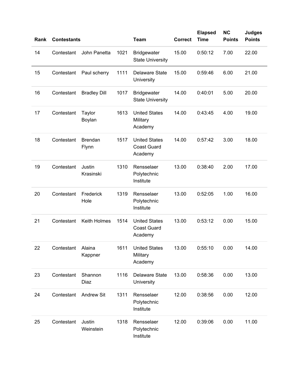| Rank | <b>Contestants</b> |                         |      | <b>Team</b>                                           | <b>Correct</b> | <b>Elapsed</b><br><b>Time</b> | <b>NC</b><br><b>Points</b> | <b>Judges</b><br><b>Points</b> |
|------|--------------------|-------------------------|------|-------------------------------------------------------|----------------|-------------------------------|----------------------------|--------------------------------|
| 14   | Contestant         | John Panetta            | 1021 | <b>Bridgewater</b><br><b>State University</b>         | 15.00          | 0:50:12                       | 7.00                       | 22.00                          |
| 15   | Contestant         | Paul scherry            | 1111 | <b>Delaware State</b><br>University                   | 15.00          | 0:59:46                       | 6.00                       | 21.00                          |
| 16   | Contestant         | <b>Bradley Dill</b>     | 1017 | <b>Bridgewater</b><br><b>State University</b>         | 14.00          | 0:40:01                       | 5.00                       | 20.00                          |
| 17   | Contestant         | Taylor<br>Boylan        | 1613 | <b>United States</b><br>Military<br>Academy           | 14.00          | 0:43:45                       | 4.00                       | 19.00                          |
| 18   | Contestant         | <b>Brendan</b><br>Flynn | 1517 | <b>United States</b><br><b>Coast Guard</b><br>Academy | 14.00          | 0:57:42                       | 3.00                       | 18.00                          |
| 19   | Contestant         | Justin<br>Krasinski     | 1310 | Rensselaer<br>Polytechnic<br>Institute                | 13.00          | 0:38:40                       | 2.00                       | 17.00                          |
| 20   | Contestant         | Frederick<br>Hole       | 1319 | Rensselaer<br>Polytechnic<br>Institute                | 13.00          | 0:52:05                       | 1.00                       | 16.00                          |
| 21   | Contestant         | Keith Holmes            | 1514 | <b>United States</b><br><b>Coast Guard</b><br>Academy | 13.00          | 0:53:12                       | 0.00                       | 15.00                          |
| 22   | Contestant         | Alaina<br>Kappner       | 1611 | <b>United States</b><br>Military<br>Academy           | 13.00          | 0:55:10                       | 0.00                       | 14.00                          |
| 23   | Contestant         | Shannon<br>Diaz         | 1116 | <b>Delaware State</b><br>University                   | 13.00          | 0:58:36                       | 0.00                       | 13.00                          |
| 24   | Contestant         | <b>Andrew Sit</b>       | 1311 | Rensselaer<br>Polytechnic<br>Institute                | 12.00          | 0:38:56                       | 0.00                       | 12.00                          |
| 25   | Contestant         | Justin<br>Weinstein     | 1318 | Rensselaer<br>Polytechnic<br>Institute                | 12.00          | 0:39:06                       | 0.00                       | 11.00                          |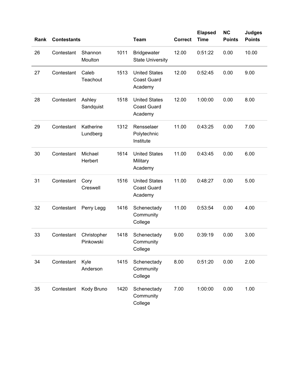| Rank | <b>Contestants</b> |                          |      | <b>Team</b>                                           | <b>Correct</b> | <b>Elapsed</b><br><b>Time</b> | <b>NC</b><br><b>Points</b> | <b>Judges</b><br><b>Points</b> |
|------|--------------------|--------------------------|------|-------------------------------------------------------|----------------|-------------------------------|----------------------------|--------------------------------|
| 26   | Contestant         | Shannon<br>Moulton       | 1011 | <b>Bridgewater</b><br><b>State University</b>         | 12.00          | 0:51:22                       | 0.00                       | 10.00                          |
| 27   | Contestant         | Caleb<br>Teachout        | 1513 | <b>United States</b><br><b>Coast Guard</b><br>Academy | 12.00          | 0:52:45                       | 0.00                       | 9.00                           |
| 28   | Contestant         | Ashley<br>Sandquist      | 1518 | <b>United States</b><br><b>Coast Guard</b><br>Academy | 12.00          | 1:00:00                       | 0.00                       | 8.00                           |
| 29   | Contestant         | Katherine<br>Lundberg    | 1312 | Rensselaer<br>Polytechnic<br>Institute                | 11.00          | 0:43:25                       | 0.00                       | 7.00                           |
| 30   | Contestant         | Michael<br>Herbert       | 1614 | <b>United States</b><br>Military<br>Academy           | 11.00          | 0:43:45                       | 0.00                       | 6.00                           |
| 31   | Contestant         | Cory<br>Creswell         | 1516 | <b>United States</b><br><b>Coast Guard</b><br>Academy | 11.00          | 0:48:27                       | 0.00                       | 5.00                           |
| 32   | Contestant         | Perry Legg               | 1416 | Schenectady<br>Community<br>College                   | 11.00          | 0:53:54                       | 0.00                       | 4.00                           |
| 33   | Contestant         | Christopher<br>Pinkowski | 1418 | Schenectady<br>Community<br>College                   | 9.00           | 0:39:19                       | 0.00                       | 3.00                           |
| 34   | Contestant         | Kyle<br>Anderson         | 1415 | Schenectady<br>Community<br>College                   | 8.00           | 0:51:20                       | 0.00                       | 2.00                           |
| 35   | Contestant         | Kody Bruno               | 1420 | Schenectady<br>Community<br>College                   | 7.00           | 1:00:00                       | 0.00                       | 1.00                           |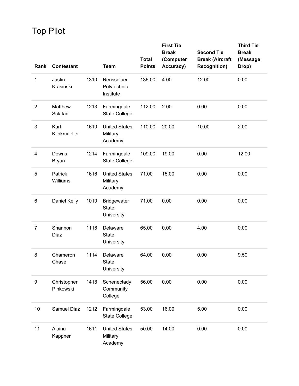Top Pilot

| Rank             | <b>Contestant</b>        |      | <b>Team</b>                                      | <b>Total</b><br><b>Points</b> | <b>First Tie</b><br><b>Break</b><br>(Computer<br>Accuracy) | <b>Second Tie</b><br><b>Break (Aircraft</b> | <b>Third Tie</b><br><b>Break</b><br>(Message |
|------------------|--------------------------|------|--------------------------------------------------|-------------------------------|------------------------------------------------------------|---------------------------------------------|----------------------------------------------|
|                  |                          |      |                                                  |                               |                                                            | <b>Recognition)</b>                         | Drop)                                        |
| $\mathbf 1$      | Justin<br>Krasinski      | 1310 | Rensselaer<br>Polytechnic<br>Institute           | 136.00                        | 4.00                                                       | 12.00                                       | 0.00                                         |
| $\overline{c}$   | Matthew<br>Sclafani      | 1213 | Farmingdale<br><b>State College</b>              | 112.00                        | 2.00                                                       | 0.00                                        | 0.00                                         |
| 3                | Kurt<br>Klinkmueller     | 1610 | <b>United States</b><br>Military<br>Academy      | 110.00                        | 20.00                                                      | 10.00                                       | 2.00                                         |
| 4                | Downs<br><b>Bryan</b>    | 1214 | Farmingdale<br><b>State College</b>              | 109.00                        | 19.00                                                      | 0.00                                        | 12.00                                        |
| 5                | Patrick<br>Williams      | 1616 | <b>United States</b><br>Military<br>Academy      | 71.00                         | 15.00                                                      | 0.00                                        | 0.00                                         |
| 6                | Daniel Kelly             | 1010 | <b>Bridgewater</b><br><b>State</b><br>University | 71.00                         | 0.00                                                       | 0.00                                        | 0.00                                         |
| 7                | Shannon<br>Diaz          | 1116 | Delaware<br><b>State</b><br>University           | 65.00                         | 0.00                                                       | 4.00                                        | 0.00                                         |
| 8                | Chameron<br>Chase        | 1114 | Delaware<br>State<br>University                  | 64.00                         | 0.00                                                       | 0.00                                        | 9.50                                         |
| $\boldsymbol{9}$ | Christopher<br>Pinkowski | 1418 | Schenectady<br>Community<br>College              | 56.00                         | 0.00                                                       | 0.00                                        | 0.00                                         |
| 10               | Samuel Diaz              | 1212 | Farmingdale<br><b>State College</b>              | 53.00                         | 16.00                                                      | 5.00                                        | 0.00                                         |
| 11               | Alaina<br>Kappner        | 1611 | <b>United States</b><br>Military<br>Academy      | 50.00                         | 14.00                                                      | 0.00                                        | 0.00                                         |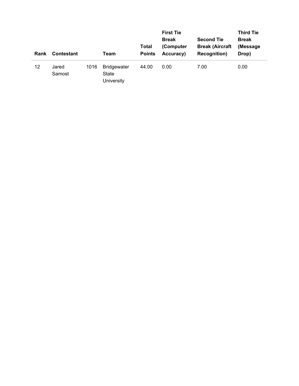| Rank | <b>Contestant</b> |      | Team                                      | <b>Total</b><br><b>Points</b> | <b>First Tie</b><br><b>Break</b><br>(Computer<br>Accuracy) | <b>Second Tie</b><br><b>Break (Aircraft</b><br><b>Recognition</b> ) | <b>Third Tie</b><br><b>Break</b><br>(Message)<br>Drop) |
|------|-------------------|------|-------------------------------------------|-------------------------------|------------------------------------------------------------|---------------------------------------------------------------------|--------------------------------------------------------|
| 12   | Jared<br>Samost   | 1016 | <b>Bridgewater</b><br>State<br>University | 44.00                         | 0.00                                                       | 7.00                                                                | 0.00                                                   |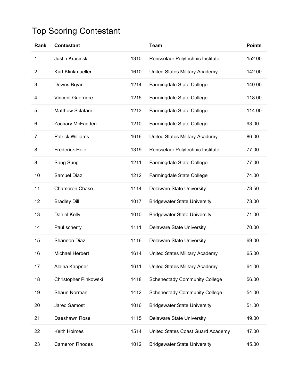## Top Scoring Contestant

| Rank           | <b>Contestant</b>        |      | <b>Team</b>                          | <b>Points</b> |
|----------------|--------------------------|------|--------------------------------------|---------------|
| 1              | Justin Krasinski         | 1310 | Rensselaer Polytechnic Institute     | 152.00        |
| $\overline{2}$ | Kurt Klinkmueller        | 1610 | United States Military Academy       | 142.00        |
| 3              | Downs Bryan              | 1214 | Farmingdale State College            | 140.00        |
| 4              | <b>Vincent Guerriere</b> | 1215 | Farmingdale State College            | 118.00        |
| 5              | <b>Matthew Sclafani</b>  | 1213 | Farmingdale State College            | 114.00        |
| 6              | Zachary McFadden         | 1210 | Farmingdale State College            | 93.00         |
| $\overline{7}$ | <b>Patrick Williams</b>  | 1616 | United States Military Academy       | 86.00         |
| 8              | <b>Frederick Hole</b>    | 1319 | Rensselaer Polytechnic Institute     | 77.00         |
| 8              | Sang Sung                | 1211 | Farmingdale State College            | 77.00         |
| 10             | Samuel Diaz              | 1212 | Farmingdale State College            | 74.00         |
| 11             | <b>Chameron Chase</b>    | 1114 | <b>Delaware State University</b>     | 73.50         |
| 12             | <b>Bradley Dill</b>      | 1017 | <b>Bridgewater State University</b>  | 73.00         |
| 13             | Daniel Kelly             | 1010 | <b>Bridgewater State University</b>  | 71.00         |
| 14             | Paul scherry             | 1111 | <b>Delaware State University</b>     | 70.00         |
| 15             | <b>Shannon Diaz</b>      | 1116 | <b>Delaware State University</b>     | 69.00         |
| 16             | Michael Herbert          | 1614 | United States Military Academy       | 65.00         |
| 17             | Alaina Kappner           | 1611 | United States Military Academy       | 64.00         |
| 18             | Christopher Pinkowski    | 1418 | <b>Schenectady Community College</b> | 56.00         |
| 19             | Shaun Norman             | 1412 | <b>Schenectady Community College</b> | 54.00         |
| 20             | <b>Jared Samost</b>      | 1016 | <b>Bridgewater State University</b>  | 51.00         |
| 21             | Daeshawn Rose            | 1115 | <b>Delaware State University</b>     | 49.00         |
| 22             | Keith Holmes             | 1514 | United States Coast Guard Academy    | 47.00         |
| 23             | <b>Cameron Rhodes</b>    | 1012 | <b>Bridgewater State University</b>  | 45.00         |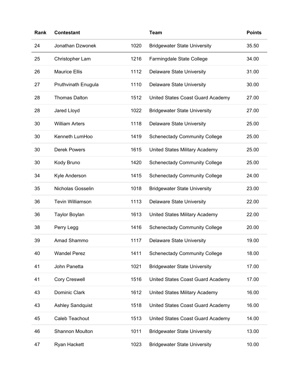| Rank | <b>Contestant</b>       |      | <b>Team</b>                          | <b>Points</b> |
|------|-------------------------|------|--------------------------------------|---------------|
| 24   | Jonathan Dzwonek        | 1020 | <b>Bridgewater State University</b>  | 35.50         |
| 25   | Christopher Lam         | 1216 | Farmingdale State College            | 34.00         |
| 26   | <b>Maurice Ellis</b>    | 1112 | <b>Delaware State University</b>     | 31.00         |
| 27   | Pruthvinath Enugula     | 1110 | <b>Delaware State University</b>     | 30.00         |
| 28   | <b>Thomas Dalton</b>    | 1512 | United States Coast Guard Academy    | 27.00         |
| 28   | Jared Lloyd             | 1022 | <b>Bridgewater State University</b>  | 27.00         |
| 30   | <b>William Arters</b>   | 1118 | <b>Delaware State University</b>     | 25.00         |
| 30   | Kenneth LumHoo          | 1419 | <b>Schenectady Community College</b> | 25.00         |
| 30   | <b>Derek Powers</b>     | 1615 | United States Military Academy       | 25.00         |
| 30   | Kody Bruno              | 1420 | <b>Schenectady Community College</b> | 25.00         |
| 34   | Kyle Anderson           | 1415 | <b>Schenectady Community College</b> | 24.00         |
| 35   | Nicholas Gosselin       | 1018 | <b>Bridgewater State University</b>  | 23.00         |
| 36   | <b>Tevin Williamson</b> | 1113 | <b>Delaware State University</b>     | 22.00         |
| 36   | <b>Taylor Boylan</b>    | 1613 | United States Military Academy       | 22.00         |
| 38   | Perry Legg              | 1416 | <b>Schenectady Community College</b> | 20.00         |
| 39   | Amad Shammo             | 1117 | <b>Delaware State University</b>     | 19.00         |
| 40   | <b>Wandel Perez</b>     | 1411 | <b>Schenectady Community College</b> | 18.00         |
| 41   | John Panetta            | 1021 | <b>Bridgewater State University</b>  | 17.00         |
| 41   | <b>Cory Creswell</b>    | 1516 | United States Coast Guard Academy    | 17.00         |
| 43   | Dominic Clark           | 1612 | United States Military Academy       | 16.00         |
| 43   | <b>Ashley Sandquist</b> | 1518 | United States Coast Guard Academy    | 16.00         |
| 45   | Caleb Teachout          | 1513 | United States Coast Guard Academy    | 14.00         |
| 46   | <b>Shannon Moulton</b>  | 1011 | <b>Bridgewater State University</b>  | 13.00         |
| 47   | Ryan Hackett            | 1023 | <b>Bridgewater State University</b>  | 10.00         |